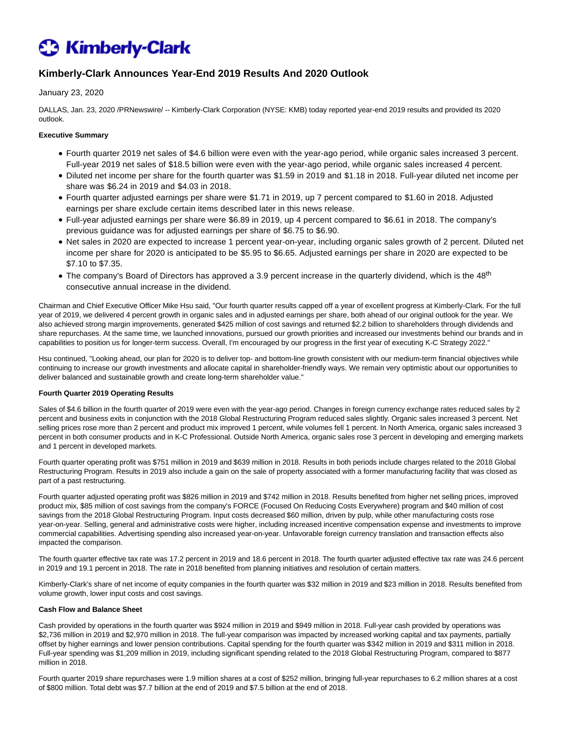# **C** Kimberly-Clark

# **Kimberly-Clark Announces Year-End 2019 Results And 2020 Outlook**

# January 23, 2020

DALLAS, Jan. 23, 2020 /PRNewswire/ -- Kimberly-Clark Corporation (NYSE: KMB) today reported year-end 2019 results and provided its 2020 outlook.

## **Executive Summary**

- Fourth quarter 2019 net sales of \$4.6 billion were even with the year-ago period, while organic sales increased 3 percent. Full-year 2019 net sales of \$18.5 billion were even with the year-ago period, while organic sales increased 4 percent.
- Diluted net income per share for the fourth quarter was \$1.59 in 2019 and \$1.18 in 2018. Full-year diluted net income per share was \$6.24 in 2019 and \$4.03 in 2018.
- Fourth quarter adjusted earnings per share were \$1.71 in 2019, up 7 percent compared to \$1.60 in 2018. Adjusted earnings per share exclude certain items described later in this news release.
- Full-year adjusted earnings per share were \$6.89 in 2019, up 4 percent compared to \$6.61 in 2018. The company's previous guidance was for adjusted earnings per share of \$6.75 to \$6.90.
- Net sales in 2020 are expected to increase 1 percent year-on-year, including organic sales growth of 2 percent. Diluted net income per share for 2020 is anticipated to be \$5.95 to \$6.65. Adjusted earnings per share in 2020 are expected to be \$7.10 to \$7.35.
- The company's Board of Directors has approved a 3.9 percent increase in the quarterly dividend, which is the 48<sup>th</sup> consecutive annual increase in the dividend.

Chairman and Chief Executive Officer Mike Hsu said, "Our fourth quarter results capped off a year of excellent progress at Kimberly-Clark. For the full year of 2019, we delivered 4 percent growth in organic sales and in adjusted earnings per share, both ahead of our original outlook for the year. We also achieved strong margin improvements, generated \$425 million of cost savings and returned \$2.2 billion to shareholders through dividends and share repurchases. At the same time, we launched innovations, pursued our growth priorities and increased our investments behind our brands and in capabilities to position us for longer-term success. Overall, I'm encouraged by our progress in the first year of executing K-C Strategy 2022."

Hsu continued, "Looking ahead, our plan for 2020 is to deliver top- and bottom-line growth consistent with our medium-term financial objectives while continuing to increase our growth investments and allocate capital in shareholder-friendly ways. We remain very optimistic about our opportunities to deliver balanced and sustainable growth and create long-term shareholder value."

#### **Fourth Quarter 2019 Operating Results**

Sales of \$4.6 billion in the fourth quarter of 2019 were even with the year-ago period. Changes in foreign currency exchange rates reduced sales by 2 percent and business exits in conjunction with the 2018 Global Restructuring Program reduced sales slightly. Organic sales increased 3 percent. Net selling prices rose more than 2 percent and product mix improved 1 percent, while volumes fell 1 percent. In North America, organic sales increased 3 percent in both consumer products and in K-C Professional. Outside North America, organic sales rose 3 percent in developing and emerging markets and 1 percent in developed markets.

Fourth quarter operating profit was \$751 million in 2019 and \$639 million in 2018. Results in both periods include charges related to the 2018 Global Restructuring Program. Results in 2019 also include a gain on the sale of property associated with a former manufacturing facility that was closed as part of a past restructuring.

Fourth quarter adjusted operating profit was \$826 million in 2019 and \$742 million in 2018. Results benefited from higher net selling prices, improved product mix, \$85 million of cost savings from the company's FORCE (Focused On Reducing Costs Everywhere) program and \$40 million of cost savings from the 2018 Global Restructuring Program. Input costs decreased \$60 million, driven by pulp, while other manufacturing costs rose year-on-year. Selling, general and administrative costs were higher, including increased incentive compensation expense and investments to improve commercial capabilities. Advertising spending also increased year-on-year. Unfavorable foreign currency translation and transaction effects also impacted the comparison.

The fourth quarter effective tax rate was 17.2 percent in 2019 and 18.6 percent in 2018. The fourth quarter adjusted effective tax rate was 24.6 percent in 2019 and 19.1 percent in 2018. The rate in 2018 benefited from planning initiatives and resolution of certain matters.

Kimberly-Clark's share of net income of equity companies in the fourth quarter was \$32 million in 2019 and \$23 million in 2018. Results benefited from volume growth, lower input costs and cost savings.

#### **Cash Flow and Balance Sheet**

Cash provided by operations in the fourth quarter was \$924 million in 2019 and \$949 million in 2018. Full-year cash provided by operations was \$2,736 million in 2019 and \$2,970 million in 2018. The full-year comparison was impacted by increased working capital and tax payments, partially offset by higher earnings and lower pension contributions. Capital spending for the fourth quarter was \$342 million in 2019 and \$311 million in 2018. Full-year spending was \$1,209 million in 2019, including significant spending related to the 2018 Global Restructuring Program, compared to \$877 million in 2018.

Fourth quarter 2019 share repurchases were 1.9 million shares at a cost of \$252 million, bringing full-year repurchases to 6.2 million shares at a cost of \$800 million. Total debt was \$7.7 billion at the end of 2019 and \$7.5 billion at the end of 2018.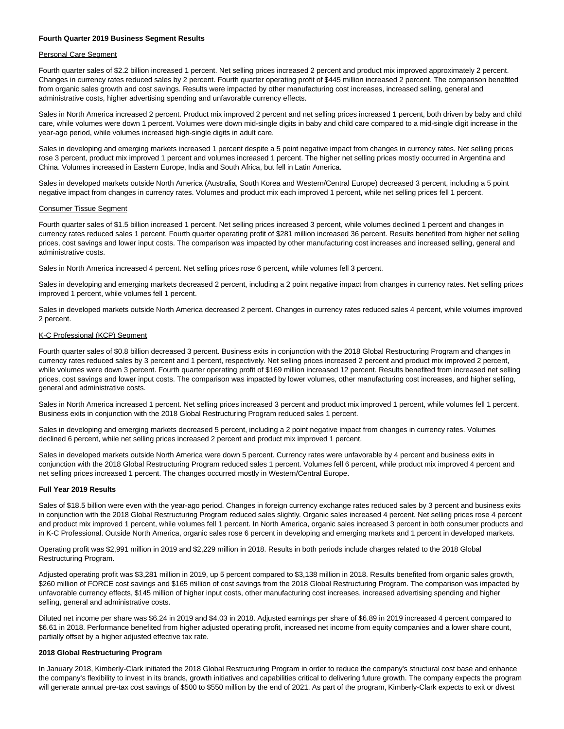#### **Fourth Quarter 2019 Business Segment Results**

#### Personal Care Segment

Fourth quarter sales of \$2.2 billion increased 1 percent. Net selling prices increased 2 percent and product mix improved approximately 2 percent. Changes in currency rates reduced sales by 2 percent. Fourth quarter operating profit of \$445 million increased 2 percent. The comparison benefited from organic sales growth and cost savings. Results were impacted by other manufacturing cost increases, increased selling, general and administrative costs, higher advertising spending and unfavorable currency effects.

Sales in North America increased 2 percent. Product mix improved 2 percent and net selling prices increased 1 percent, both driven by baby and child care, while volumes were down 1 percent. Volumes were down mid-single digits in baby and child care compared to a mid-single digit increase in the year-ago period, while volumes increased high-single digits in adult care.

Sales in developing and emerging markets increased 1 percent despite a 5 point negative impact from changes in currency rates. Net selling prices rose 3 percent, product mix improved 1 percent and volumes increased 1 percent. The higher net selling prices mostly occurred in Argentina and China. Volumes increased in Eastern Europe, India and South Africa, but fell in Latin America.

Sales in developed markets outside North America (Australia, South Korea and Western/Central Europe) decreased 3 percent, including a 5 point negative impact from changes in currency rates. Volumes and product mix each improved 1 percent, while net selling prices fell 1 percent.

#### Consumer Tissue Segment

Fourth quarter sales of \$1.5 billion increased 1 percent. Net selling prices increased 3 percent, while volumes declined 1 percent and changes in currency rates reduced sales 1 percent. Fourth quarter operating profit of \$281 million increased 36 percent. Results benefited from higher net selling prices, cost savings and lower input costs. The comparison was impacted by other manufacturing cost increases and increased selling, general and administrative costs.

Sales in North America increased 4 percent. Net selling prices rose 6 percent, while volumes fell 3 percent.

Sales in developing and emerging markets decreased 2 percent, including a 2 point negative impact from changes in currency rates. Net selling prices improved 1 percent, while volumes fell 1 percent.

Sales in developed markets outside North America decreased 2 percent. Changes in currency rates reduced sales 4 percent, while volumes improved 2 percent.

#### K-C Professional (KCP) Segment

Fourth quarter sales of \$0.8 billion decreased 3 percent. Business exits in conjunction with the 2018 Global Restructuring Program and changes in currency rates reduced sales by 3 percent and 1 percent, respectively. Net selling prices increased 2 percent and product mix improved 2 percent, while volumes were down 3 percent. Fourth quarter operating profit of \$169 million increased 12 percent. Results benefited from increased net selling prices, cost savings and lower input costs. The comparison was impacted by lower volumes, other manufacturing cost increases, and higher selling, general and administrative costs.

Sales in North America increased 1 percent. Net selling prices increased 3 percent and product mix improved 1 percent, while volumes fell 1 percent. Business exits in conjunction with the 2018 Global Restructuring Program reduced sales 1 percent.

Sales in developing and emerging markets decreased 5 percent, including a 2 point negative impact from changes in currency rates. Volumes declined 6 percent, while net selling prices increased 2 percent and product mix improved 1 percent.

Sales in developed markets outside North America were down 5 percent. Currency rates were unfavorable by 4 percent and business exits in conjunction with the 2018 Global Restructuring Program reduced sales 1 percent. Volumes fell 6 percent, while product mix improved 4 percent and net selling prices increased 1 percent. The changes occurred mostly in Western/Central Europe.

#### **Full Year 2019 Results**

Sales of \$18.5 billion were even with the year-ago period. Changes in foreign currency exchange rates reduced sales by 3 percent and business exits in conjunction with the 2018 Global Restructuring Program reduced sales slightly. Organic sales increased 4 percent. Net selling prices rose 4 percent and product mix improved 1 percent, while volumes fell 1 percent. In North America, organic sales increased 3 percent in both consumer products and in K-C Professional. Outside North America, organic sales rose 6 percent in developing and emerging markets and 1 percent in developed markets.

Operating profit was \$2,991 million in 2019 and \$2,229 million in 2018. Results in both periods include charges related to the 2018 Global Restructuring Program.

Adjusted operating profit was \$3,281 million in 2019, up 5 percent compared to \$3,138 million in 2018. Results benefited from organic sales growth, \$260 million of FORCE cost savings and \$165 million of cost savings from the 2018 Global Restructuring Program. The comparison was impacted by unfavorable currency effects, \$145 million of higher input costs, other manufacturing cost increases, increased advertising spending and higher selling, general and administrative costs.

Diluted net income per share was \$6.24 in 2019 and \$4.03 in 2018. Adjusted earnings per share of \$6.89 in 2019 increased 4 percent compared to \$6.61 in 2018. Performance benefited from higher adjusted operating profit, increased net income from equity companies and a lower share count, partially offset by a higher adjusted effective tax rate.

#### **2018 Global Restructuring Program**

In January 2018, Kimberly-Clark initiated the 2018 Global Restructuring Program in order to reduce the company's structural cost base and enhance the company's flexibility to invest in its brands, growth initiatives and capabilities critical to delivering future growth. The company expects the program will generate annual pre-tax cost savings of \$500 to \$550 million by the end of 2021. As part of the program, Kimberly-Clark expects to exit or divest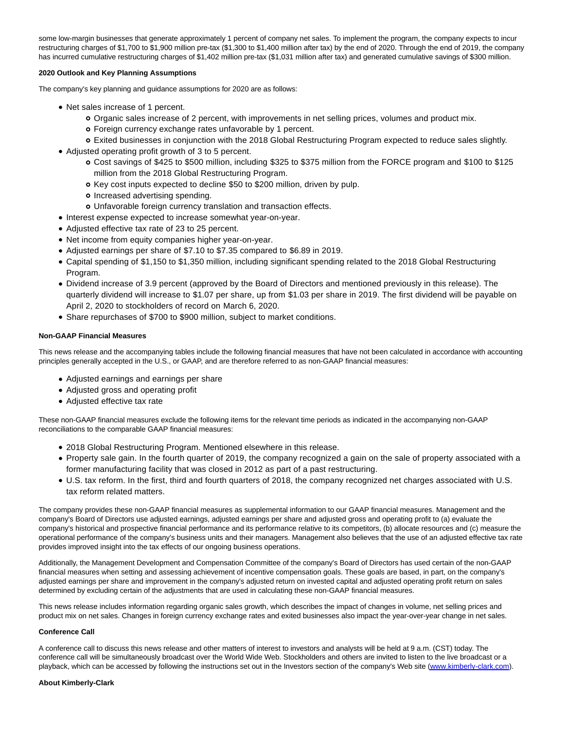some low-margin businesses that generate approximately 1 percent of company net sales. To implement the program, the company expects to incur restructuring charges of \$1,700 to \$1,900 million pre-tax (\$1,300 to \$1,400 million after tax) by the end of 2020. Through the end of 2019, the company has incurred cumulative restructuring charges of \$1,402 million pre-tax (\$1,031 million after tax) and generated cumulative savings of \$300 million.

#### **2020 Outlook and Key Planning Assumptions**

The company's key planning and guidance assumptions for 2020 are as follows:

- Net sales increase of 1 percent.
	- Organic sales increase of 2 percent, with improvements in net selling prices, volumes and product mix.
	- Foreign currency exchange rates unfavorable by 1 percent.
	- Exited businesses in conjunction with the 2018 Global Restructuring Program expected to reduce sales slightly.
- Adjusted operating profit growth of 3 to 5 percent.
	- Cost savings of \$425 to \$500 million, including \$325 to \$375 million from the FORCE program and \$100 to \$125 million from the 2018 Global Restructuring Program.
	- o Key cost inputs expected to decline \$50 to \$200 million, driven by pulp.
	- o Increased advertising spending.
	- Unfavorable foreign currency translation and transaction effects.
- Interest expense expected to increase somewhat year-on-year.
- Adjusted effective tax rate of 23 to 25 percent.
- Net income from equity companies higher year-on-year.
- Adjusted earnings per share of \$7.10 to \$7.35 compared to \$6.89 in 2019.
- Capital spending of \$1,150 to \$1,350 million, including significant spending related to the 2018 Global Restructuring Program.
- Dividend increase of 3.9 percent (approved by the Board of Directors and mentioned previously in this release). The quarterly dividend will increase to \$1.07 per share, up from \$1.03 per share in 2019. The first dividend will be payable on April 2, 2020 to stockholders of record on March 6, 2020.
- Share repurchases of \$700 to \$900 million, subject to market conditions.

#### **Non-GAAP Financial Measures**

This news release and the accompanying tables include the following financial measures that have not been calculated in accordance with accounting principles generally accepted in the U.S., or GAAP, and are therefore referred to as non-GAAP financial measures:

- Adjusted earnings and earnings per share
- Adjusted gross and operating profit
- Adjusted effective tax rate

These non-GAAP financial measures exclude the following items for the relevant time periods as indicated in the accompanying non-GAAP reconciliations to the comparable GAAP financial measures:

- 2018 Global Restructuring Program. Mentioned elsewhere in this release.
- Property sale gain. In the fourth quarter of 2019, the company recognized a gain on the sale of property associated with a former manufacturing facility that was closed in 2012 as part of a past restructuring.
- U.S. tax reform. In the first, third and fourth quarters of 2018, the company recognized net charges associated with U.S. tax reform related matters.

The company provides these non-GAAP financial measures as supplemental information to our GAAP financial measures. Management and the company's Board of Directors use adjusted earnings, adjusted earnings per share and adjusted gross and operating profit to (a) evaluate the company's historical and prospective financial performance and its performance relative to its competitors, (b) allocate resources and (c) measure the operational performance of the company's business units and their managers. Management also believes that the use of an adjusted effective tax rate provides improved insight into the tax effects of our ongoing business operations.

Additionally, the Management Development and Compensation Committee of the company's Board of Directors has used certain of the non-GAAP financial measures when setting and assessing achievement of incentive compensation goals. These goals are based, in part, on the company's adjusted earnings per share and improvement in the company's adjusted return on invested capital and adjusted operating profit return on sales determined by excluding certain of the adjustments that are used in calculating these non-GAAP financial measures.

This news release includes information regarding organic sales growth, which describes the impact of changes in volume, net selling prices and product mix on net sales. Changes in foreign currency exchange rates and exited businesses also impact the year-over-year change in net sales.

#### **Conference Call**

A conference call to discuss this news release and other matters of interest to investors and analysts will be held at 9 a.m. (CST) today. The conference call will be simultaneously broadcast over the World Wide Web. Stockholders and others are invited to listen to the live broadcast or a playback, which can be accessed by following the instructions set out in the Investors section of the company's Web site [\(www.kimberly-clark.com\).](https://c212.net/c/link/?t=0&l=en&o=2700066-1&h=2330757046&u=http%3A%2F%2Fwww.kimberly-clark.com%2F&a=www.kimberly-clark.com)

#### **About Kimberly-Clark**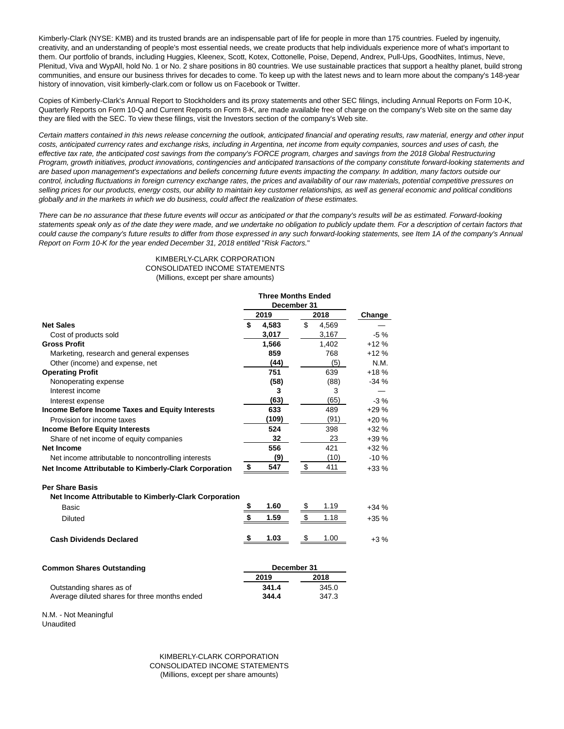Kimberly-Clark (NYSE: KMB) and its trusted brands are an indispensable part of life for people in more than 175 countries. Fueled by ingenuity, creativity, and an understanding of people's most essential needs, we create products that help individuals experience more of what's important to them. Our portfolio of brands, including Huggies, Kleenex, Scott, Kotex, Cottonelle, Poise, Depend, Andrex, Pull-Ups, GoodNites, Intimus, Neve, Plenitud, Viva and WypAll, hold No. 1 or No. 2 share positions in 80 countries. We use sustainable practices that support a healthy planet, build strong communities, and ensure our business thrives for decades to come. To keep up with the latest news and to learn more about the company's 148-year history of innovation, visit kimberly-clark.com or follow us on Facebook or Twitter.

Copies of Kimberly-Clark's Annual Report to Stockholders and its proxy statements and other SEC filings, including Annual Reports on Form 10-K, Quarterly Reports on Form 10-Q and Current Reports on Form 8-K, are made available free of charge on the company's Web site on the same day they are filed with the SEC. To view these filings, visit the Investors section of the company's Web site.

Certain matters contained in this news release concerning the outlook, anticipated financial and operating results, raw material, energy and other input costs, anticipated currency rates and exchange risks, including in Argentina, net income from equity companies, sources and uses of cash, the effective tax rate, the anticipated cost savings from the company's FORCE program, charges and savings from the 2018 Global Restructuring Program, growth initiatives, product innovations, contingencies and anticipated transactions of the company constitute forward-looking statements and are based upon management's expectations and beliefs concerning future events impacting the company. In addition, many factors outside our control, including fluctuations in foreign currency exchange rates, the prices and availability of our raw materials, potential competitive pressures on selling prices for our products, energy costs, our ability to maintain key customer relationships, as well as general economic and political conditions globally and in the markets in which we do business, could affect the realization of these estimates.

There can be no assurance that these future events will occur as anticipated or that the company's results will be as estimated. Forward-looking statements speak only as of the date they were made, and we undertake no obligation to publicly update them. For a description of certain factors that could cause the company's future results to differ from those expressed in any such forward-looking statements, see Item 1A of the company's Annual Report on Form 10-K for the year ended December 31, 2018 entitled "Risk Factors."

> KIMBERLY-CLARK CORPORATION CONSOLIDATED INCOME STATEMENTS (Millions, except per share amounts)

|                                                                                 | <b>Three Months Ended</b><br>December 31 |       |      |       |        |
|---------------------------------------------------------------------------------|------------------------------------------|-------|------|-------|--------|
|                                                                                 | 2019                                     |       | 2018 |       | Change |
| <b>Net Sales</b>                                                                | \$                                       | 4,583 | \$   | 4,569 |        |
| Cost of products sold                                                           |                                          | 3,017 |      | 3,167 | $-5%$  |
| <b>Gross Profit</b>                                                             |                                          | 1,566 |      | 1,402 | $+12%$ |
| Marketing, research and general expenses                                        |                                          | 859   |      | 768   | $+12%$ |
| Other (income) and expense, net                                                 |                                          | (44)  |      | (5)   | N.M.   |
| <b>Operating Profit</b>                                                         |                                          | 751   |      | 639   | $+18%$ |
| Nonoperating expense                                                            |                                          | (58)  |      | (88)  | $-34%$ |
| Interest income                                                                 |                                          | 3     |      | 3     |        |
| Interest expense                                                                |                                          | (63)  |      | (65)  | $-3\%$ |
| Income Before Income Taxes and Equity Interests                                 |                                          | 633   |      | 489   | $+29%$ |
| Provision for income taxes                                                      |                                          | (109) |      | (91)  | $+20%$ |
| <b>Income Before Equity Interests</b>                                           |                                          | 524   |      | 398   | $+32%$ |
| Share of net income of equity companies                                         |                                          | 32    |      | 23    | $+39%$ |
| <b>Net Income</b>                                                               |                                          | 556   |      | 421   | $+32%$ |
| Net income attributable to noncontrolling interests                             |                                          | (9)   |      | (10)  | $-10%$ |
| Net Income Attributable to Kimberly-Clark Corporation                           | \$                                       | 547   | \$   | 411   | $+33%$ |
| <b>Per Share Basis</b><br>Net Income Attributable to Kimberly-Clark Corporation |                                          |       |      |       |        |

| Basic                          | 1.60 | 1.19 | $+34%$ |
|--------------------------------|------|------|--------|
| <b>Diluted</b>                 | 1.59 | 1.18 | $+35%$ |
| <b>Cash Dividends Declared</b> | 1.03 | 1.00 | +3 %   |

| <b>Common Shares Outstanding</b>              | December 31 |       |
|-----------------------------------------------|-------------|-------|
|                                               | 2019        | 2018  |
| Outstanding shares as of                      | 341.4       | 345.0 |
| Average diluted shares for three months ended | 344.4       | 347.3 |

N.M. - Not Meaningful Unaudited

KIMBERLY-CLARK CORPORATION CONSOLIDATED INCOME STATEMENTS (Millions, except per share amounts)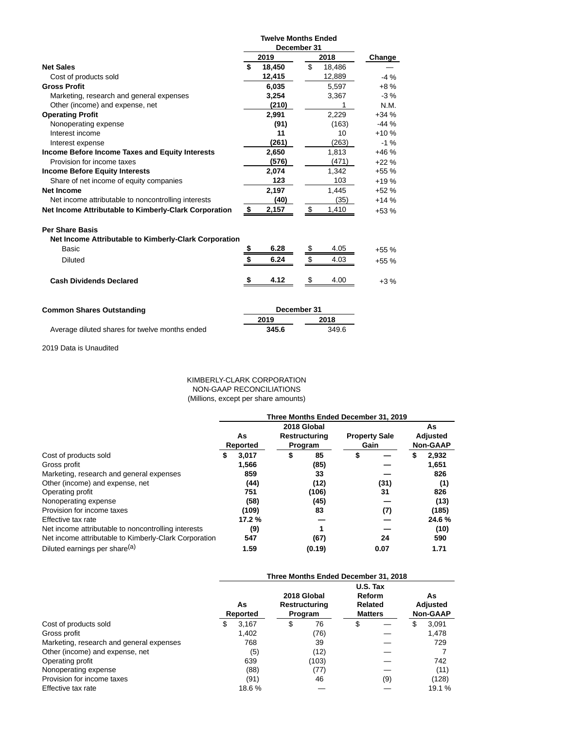|                                                                                 | <b>Twelve Months Ended</b><br>December 31 |             |    |        |        |  |
|---------------------------------------------------------------------------------|-------------------------------------------|-------------|----|--------|--------|--|
|                                                                                 |                                           | 2019        |    | 2018   | Change |  |
| <b>Net Sales</b>                                                                | \$                                        | 18,450      | \$ | 18,486 |        |  |
| Cost of products sold                                                           |                                           | 12,415      |    | 12,889 | $-4%$  |  |
| <b>Gross Profit</b>                                                             |                                           | 6,035       |    | 5,597  | $+8%$  |  |
| Marketing, research and general expenses                                        |                                           | 3,254       |    | 3,367  | $-3%$  |  |
| Other (income) and expense, net                                                 |                                           | (210)       |    |        | N.M.   |  |
| <b>Operating Profit</b>                                                         |                                           | 2,991       |    | 2.229  | $+34%$ |  |
| Nonoperating expense                                                            |                                           | (91)        |    | (163)  | $-44%$ |  |
| Interest income                                                                 |                                           | 11          |    | 10     | $+10%$ |  |
| Interest expense                                                                |                                           | (261)       |    | (263)  | $-1%$  |  |
| Income Before Income Taxes and Equity Interests                                 |                                           | 2,650       |    | 1,813  | $+46%$ |  |
| Provision for income taxes                                                      |                                           | (576)       |    | (471)  | $+22%$ |  |
| <b>Income Before Equity Interests</b>                                           |                                           | 2,074       |    | 1,342  | $+55%$ |  |
| Share of net income of equity companies                                         |                                           | 123         |    | 103    | $+19%$ |  |
| Net Income                                                                      |                                           | 2,197       |    | 1,445  | $+52%$ |  |
| Net income attributable to noncontrolling interests                             |                                           | (40)        |    | (35)   | $+14%$ |  |
| Net Income Attributable to Kimberly-Clark Corporation                           | \$                                        | 2,157       | \$ | 1,410  | $+53%$ |  |
| <b>Per Share Basis</b><br>Net Income Attributable to Kimberly-Clark Corporation |                                           |             |    |        |        |  |
| Basic                                                                           | \$                                        | 6.28        | \$ | 4.05   | $+55%$ |  |
|                                                                                 | \$                                        | 6.24        | \$ | 4.03   |        |  |
| <b>Diluted</b>                                                                  |                                           |             |    |        | $+55%$ |  |
| <b>Cash Dividends Declared</b>                                                  | - \$                                      | 4.12        | \$ | 4.00   | $+3%$  |  |
| <b>Common Shares Outstanding</b>                                                |                                           | December 31 |    |        |        |  |
|                                                                                 |                                           | 2019        |    | 2018   |        |  |
| Average diluted shares for twelve months ended                                  |                                           | 345.6       |    | 349.6  |        |  |

2019 Data is Unaudited

KIMBERLY-CLARK CORPORATION NON-GAAP RECONCILIATIONS (Millions, except per share amounts)

|                                                       | Three Months Ended December 31, 2019 |          |                      |             |                      |      |                 |          |  |  |
|-------------------------------------------------------|--------------------------------------|----------|----------------------|-------------|----------------------|------|-----------------|----------|--|--|
|                                                       | As                                   |          |                      | 2018 Global |                      |      |                 | As       |  |  |
|                                                       |                                      |          | <b>Restructuring</b> |             | <b>Property Sale</b> |      |                 | Adjusted |  |  |
|                                                       |                                      | Reported | Program              |             | Gain                 |      | <b>Non-GAAP</b> |          |  |  |
| Cost of products sold                                 | S                                    | 3.017    | \$                   | 85          | \$                   |      |                 | 2,932    |  |  |
| Gross profit                                          |                                      | 1,566    |                      | (85)        |                      |      |                 | 1,651    |  |  |
| Marketing, research and general expenses              |                                      | 859      |                      | 33          |                      |      |                 | 826      |  |  |
| Other (income) and expense, net                       |                                      | (44)     |                      | (12)        |                      | (31) |                 | (1)      |  |  |
| Operating profit                                      |                                      | 751      |                      | (106)       |                      | 31   |                 | 826      |  |  |
| Nonoperating expense                                  |                                      | (58)     |                      | (45)        |                      |      |                 | (13)     |  |  |
| Provision for income taxes                            |                                      | (109)    |                      | 83          |                      | (7)  |                 | (185)    |  |  |
| Effective tax rate                                    |                                      | 17.2%    |                      |             |                      |      |                 | 24.6%    |  |  |
| Net income attributable to noncontrolling interests   |                                      | (9)      |                      |             |                      |      |                 | (10)     |  |  |
| Net income attributable to Kimberly-Clark Corporation |                                      | 547      |                      | (67)        |                      | 24   |                 | 590      |  |  |
| Diluted earnings per share <sup>(a)</sup>             |                                      | 1.59     |                      | (0.19)      |                      | 0.07 |                 | 1.71     |  |  |

|                                          |                | Three Months Ended December 31, 2018    |                                                        |                                   |
|------------------------------------------|----------------|-----------------------------------------|--------------------------------------------------------|-----------------------------------|
|                                          | As<br>Reported | 2018 Global<br>Restructuring<br>Program | U.S. Tax<br><b>Reform</b><br>Related<br><b>Matters</b> | As<br>Adjusted<br><b>Non-GAAP</b> |
| Cost of products sold                    | 3,167<br>S     | 76<br>\$                                | \$                                                     | 3,091<br>\$                       |
| Gross profit                             | 1,402          | (76)                                    |                                                        | 1,478                             |
| Marketing, research and general expenses | 768            | 39                                      |                                                        | 729                               |
| Other (income) and expense, net          | (5)            | (12)                                    |                                                        |                                   |
| Operating profit                         | 639            | (103)                                   |                                                        | 742                               |
| Nonoperating expense                     | (88)           | (77)                                    |                                                        | (11)                              |
| Provision for income taxes               | (91)           | 46                                      | (9)                                                    | (128)                             |
| Effective tax rate                       | 18.6%          |                                         |                                                        | 19.1 %                            |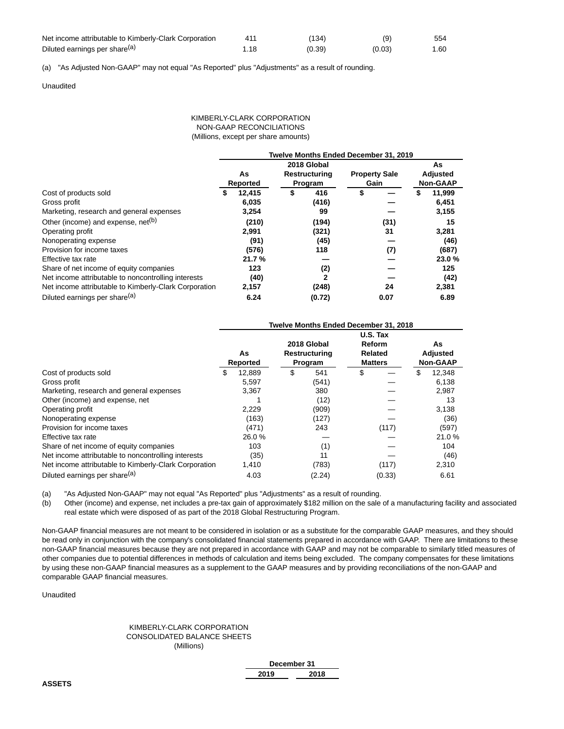| Net income attributable to Kimberly-Clark Corporation |      | (134)  | (9)    | 554  |
|-------------------------------------------------------|------|--------|--------|------|
| Diluted earnings per share <sup>(a)</sup>             | 1.18 | (0.39) | (0.03) | 1.60 |

(a) "As Adjusted Non-GAAP" may not equal "As Reported" plus "Adjustments" as a result of rounding.

Unaudited

#### KIMBERLY-CLARK CORPORATION NON-GAAP RECONCILIATIONS (Millions, except per share amounts)

|                                                       | Twelve Months Ended December 31, 2019 |          |         |               |      |                      |                 |                 |  |  |
|-------------------------------------------------------|---------------------------------------|----------|---------|---------------|------|----------------------|-----------------|-----------------|--|--|
|                                                       |                                       |          |         | 2018 Global   |      |                      |                 | As              |  |  |
|                                                       |                                       | As       |         | Restructuring |      | <b>Property Sale</b> |                 | <b>Adjusted</b> |  |  |
|                                                       |                                       | Reported | Program |               | Gain |                      | <b>Non-GAAP</b> |                 |  |  |
| Cost of products sold                                 | \$                                    | 12.415   |         | 416           | \$   |                      |                 | 11,999          |  |  |
| Gross profit                                          |                                       | 6,035    |         | (416)         |      |                      |                 | 6,451           |  |  |
| Marketing, research and general expenses              |                                       | 3,254    |         | 99            |      |                      |                 | 3,155           |  |  |
| Other (income) and expense, net <sup>(b)</sup>        |                                       | (210)    |         | (194)         |      | (31)                 |                 | 15              |  |  |
| Operating profit                                      |                                       | 2,991    |         | (321)         |      | 31                   |                 | 3,281           |  |  |
| Nonoperating expense                                  |                                       | (91)     |         | (45)          |      |                      |                 | (46)            |  |  |
| Provision for income taxes                            |                                       | (576)    |         | 118           |      | (7)                  |                 | (687)           |  |  |
| Effective tax rate                                    |                                       | 21.7%    |         |               |      |                      |                 | 23.0%           |  |  |
| Share of net income of equity companies               |                                       | 123      |         | (2)           |      |                      |                 | 125             |  |  |
| Net income attributable to noncontrolling interests   |                                       | (40)     |         | $\mathbf{2}$  |      |                      |                 | (42)            |  |  |
| Net income attributable to Kimberly-Clark Corporation |                                       | 2,157    |         | (248)         |      | 24                   |                 | 2,381           |  |  |
| Diluted earnings per share <sup>(a)</sup>             |                                       | 6.24     |         | (0.72)        |      | 0.07                 |                 | 6.89            |  |  |

|                                                       |                | Twelve Months Ended December 31, 2018   |                                                 |   |                                          |
|-------------------------------------------------------|----------------|-----------------------------------------|-------------------------------------------------|---|------------------------------------------|
|                                                       | As<br>Reported | 2018 Global<br>Restructuring<br>Program | U.S. Tax<br>Reform<br>Related<br><b>Matters</b> |   | As<br><b>Adjusted</b><br><b>Non-GAAP</b> |
| Cost of products sold                                 | \$<br>12.889   | \$<br>541                               | \$                                              | S | 12,348                                   |
| Gross profit                                          | 5,597          | (541)                                   |                                                 |   | 6,138                                    |
| Marketing, research and general expenses              | 3,367          | 380                                     |                                                 |   | 2,987                                    |
| Other (income) and expense, net                       |                | (12)                                    |                                                 |   | 13                                       |
| Operating profit                                      | 2,229          | (909)                                   |                                                 |   | 3,138                                    |
| Nonoperating expense                                  | (163)          | (127)                                   |                                                 |   | (36)                                     |
| Provision for income taxes                            | (471)          | 243                                     | (117)                                           |   | (597)                                    |
| Effective tax rate                                    | 26.0%          |                                         |                                                 |   | 21.0%                                    |
| Share of net income of equity companies               | 103            | (1)                                     |                                                 |   | 104                                      |
| Net income attributable to noncontrolling interests   | (35)           | 11                                      |                                                 |   | (46)                                     |
| Net income attributable to Kimberly-Clark Corporation | 1,410          | (783)                                   | (117)                                           |   | 2,310                                    |
| Diluted earnings per share <sup>(a)</sup>             | 4.03           | (2.24)                                  | (0.33)                                          |   | 6.61                                     |

(a) "As Adjusted Non-GAAP" may not equal "As Reported" plus "Adjustments" as a result of rounding.

(b) Other (income) and expense, net includes a pre-tax gain of approximately \$182 million on the sale of a manufacturing facility and associated real estate which were disposed of as part of the 2018 Global Restructuring Program.

Non-GAAP financial measures are not meant to be considered in isolation or as a substitute for the comparable GAAP measures, and they should be read only in conjunction with the company's consolidated financial statements prepared in accordance with GAAP. There are limitations to these non-GAAP financial measures because they are not prepared in accordance with GAAP and may not be comparable to similarly titled measures of other companies due to potential differences in methods of calculation and items being excluded. The company compensates for these limitations by using these non-GAAP financial measures as a supplement to the GAAP measures and by providing reconciliations of the non-GAAP and comparable GAAP financial measures.

#### Unaudited

#### KIMBERLY-CLARK CORPORATION CONSOLIDATED BALANCE SHEETS (Millions)

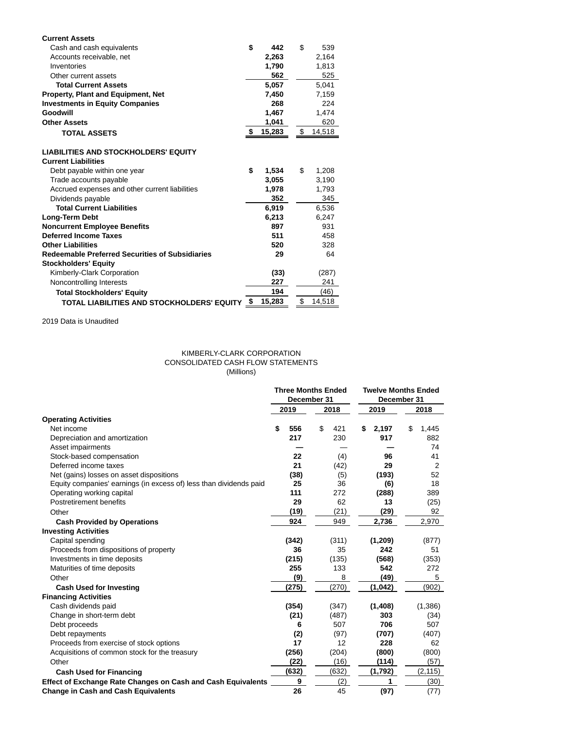| <b>Current Assets</b>                                                     |    |        |              |
|---------------------------------------------------------------------------|----|--------|--------------|
| Cash and cash equivalents                                                 | \$ | 442    | \$<br>539    |
| Accounts receivable, net                                                  |    | 2,263  | 2,164        |
| Inventories                                                               |    | 1,790  | 1.813        |
| Other current assets                                                      |    | 562    | 525          |
| <b>Total Current Assets</b>                                               |    | 5,057  | 5,041        |
| Property, Plant and Equipment, Net                                        |    | 7,450  | 7,159        |
| <b>Investments in Equity Companies</b>                                    |    | 268    | 224          |
| Goodwill                                                                  |    | 1,467  | 1,474        |
| <b>Other Assets</b>                                                       |    | 1,041  | 620          |
| <b>TOTAL ASSETS</b>                                                       | S  | 15,283 | \$<br>14,518 |
| <b>LIABILITIES AND STOCKHOLDERS' EQUITY</b><br><b>Current Liabilities</b> |    |        |              |
| Debt payable within one year                                              | \$ | 1,534  | \$<br>1,208  |
| Trade accounts payable                                                    |    | 3,055  | 3,190        |
| Accrued expenses and other current liabilities                            |    | 1,978  | 1,793        |
| Dividends payable                                                         |    | 352    | 345          |
| <b>Total Current Liabilities</b>                                          |    | 6,919  | 6,536        |
| Long-Term Debt                                                            |    | 6,213  | 6,247        |
| <b>Noncurrent Employee Benefits</b>                                       |    | 897    | 931          |
| <b>Deferred Income Taxes</b>                                              |    | 511    | 458          |
| <b>Other Liabilities</b>                                                  |    | 520    | 328          |
| <b>Redeemable Preferred Securities of Subsidiaries</b>                    |    | 29     | 64           |
| <b>Stockholders' Equity</b>                                               |    |        |              |
| Kimberly-Clark Corporation                                                |    | (33)   | (287)        |
| Noncontrolling Interests                                                  |    | 227    | 241          |
| <b>Total Stockholders' Equity</b>                                         |    | 194    | (46)         |
| TOTAL LIABILITIES AND STOCKHOLDERS' EQUITY                                | \$ | 15,283 | \$<br>14,518 |

2019 Data is Unaudited

### KIMBERLY-CLARK CORPORATION CONSOLIDATED CASH FLOW STATEMENTS (Millions)

|                                                                    | <b>Three Months Ended</b> |     |       | <b>Twelve Months Ended</b> |          |    |          |      |  |
|--------------------------------------------------------------------|---------------------------|-----|-------|----------------------------|----------|----|----------|------|--|
|                                                                    | December 31               |     |       | December 31                |          |    |          |      |  |
|                                                                    | 2019                      |     | 2018  |                            |          |    | 2019     | 2018 |  |
| <b>Operating Activities</b>                                        |                           |     |       |                            |          |    |          |      |  |
| Net income                                                         | \$<br>556                 | \$  | 421   | \$                         | 2,197    | \$ | 1,445    |      |  |
| Depreciation and amortization                                      | 217                       |     | 230   |                            | 917      |    | 882      |      |  |
| Asset impairments                                                  |                           |     |       |                            |          |    | 74       |      |  |
| Stock-based compensation                                           | 22                        |     | (4)   |                            | 96       |    | 41       |      |  |
| Deferred income taxes                                              | 21                        |     | (42)  |                            | 29       |    | 2        |      |  |
| Net (gains) losses on asset dispositions                           | (38)                      |     | (5)   |                            | (193)    |    | 52       |      |  |
| Equity companies' earnings (in excess of) less than dividends paid | 25                        |     | 36    |                            | (6)      |    | 18       |      |  |
| Operating working capital                                          | 111                       |     | 272   |                            | (288)    |    | 389      |      |  |
| Postretirement benefits                                            | 29                        |     | 62    |                            | 13       |    | (25)     |      |  |
| Other                                                              | (19)                      |     | (21)  |                            | (29)     |    | 92       |      |  |
| <b>Cash Provided by Operations</b>                                 | 924                       |     | 949   |                            | 2,736    |    | 2,970    |      |  |
| <b>Investing Activities</b>                                        |                           |     |       |                            |          |    |          |      |  |
| Capital spending                                                   | (342)                     |     | (311) |                            | (1, 209) |    | (877)    |      |  |
| Proceeds from dispositions of property                             | 36                        |     | 35    |                            | 242      |    | 51       |      |  |
| Investments in time deposits                                       | (215)                     |     | (135) |                            | (568)    |    | (353)    |      |  |
| Maturities of time deposits                                        | 255                       |     | 133   |                            | 542      |    | 272      |      |  |
| Other                                                              |                           | (9) | 8     |                            | (49)     |    | 5        |      |  |
| <b>Cash Used for Investing</b>                                     | (275)                     |     | (270) |                            | (1,042)  |    | (902)    |      |  |
| <b>Financing Activities</b>                                        |                           |     |       |                            |          |    |          |      |  |
| Cash dividends paid                                                | (354)                     |     | (347) |                            | (1, 408) |    | (1,386)  |      |  |
| Change in short-term debt                                          | (21)                      |     | (487) |                            | 303      |    | (34)     |      |  |
| Debt proceeds                                                      |                           | 6   | 507   |                            | 706      |    | 507      |      |  |
| Debt repayments                                                    |                           | (2) | (97)  |                            | (707)    |    | (407)    |      |  |
| Proceeds from exercise of stock options                            | 17                        |     | 12    |                            | 228      |    | 62       |      |  |
| Acquisitions of common stock for the treasury                      | (256)                     |     | (204) |                            | (800)    |    | (800)    |      |  |
| Other                                                              | (22)                      |     | (16)  |                            | (114)    |    | (57)     |      |  |
| <b>Cash Used for Financing</b>                                     | (632)                     |     | (632) |                            | (1,792)  |    | (2, 115) |      |  |
| Effect of Exchange Rate Changes on Cash and Cash Equivalents       |                           | 9   | (2)   |                            | 1        |    | (30)     |      |  |
| <b>Change in Cash and Cash Equivalents</b>                         | 26                        |     | 45    |                            | (97)     |    | (77)     |      |  |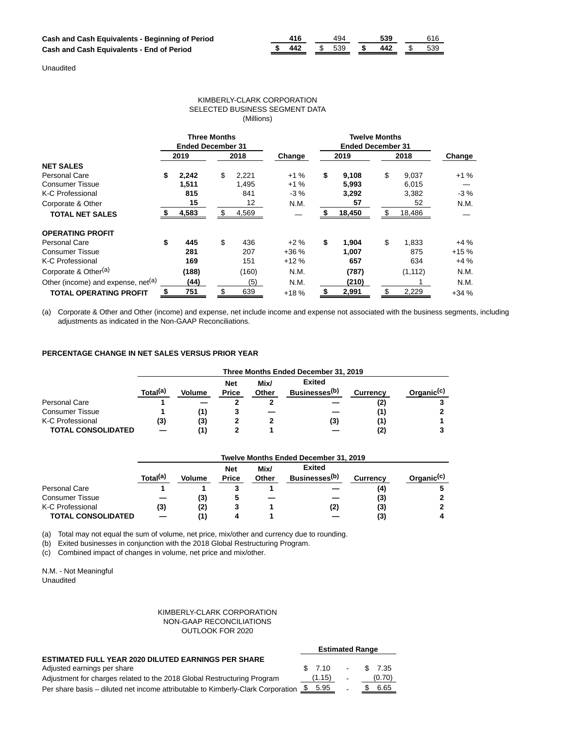|  | - - - เน |  |  |
|--|----------|--|--|

Unaudited

#### KIMBERLY-CLARK CORPORATION SELECTED BUSINESS SEGMENT DATA (Millions)

|                                                | <b>Three Months</b><br><b>Ended December 31</b> |       |    |       |        | <b>Twelve Months</b><br><b>Ended December 31</b> |        |      |          |        |
|------------------------------------------------|-------------------------------------------------|-------|----|-------|--------|--------------------------------------------------|--------|------|----------|--------|
|                                                |                                                 | 2019  |    | 2018  | Change | 2019                                             |        | 2018 |          | Change |
| <b>NET SALES</b>                               |                                                 |       |    |       |        |                                                  |        |      |          |        |
| <b>Personal Care</b>                           | \$                                              | 2,242 | \$ | 2,221 | $+1%$  | \$                                               | 9,108  | \$   | 9,037    | $+1%$  |
| Consumer Tissue                                |                                                 | 1,511 |    | 1,495 | $+1%$  |                                                  | 5,993  |      | 6,015    |        |
| K-C Professional                               |                                                 | 815   |    | 841   | $-3%$  |                                                  | 3,292  |      | 3,382    | $-3%$  |
| Corporate & Other                              |                                                 | 15    |    | 12    | N.M.   |                                                  | 57     |      | 52       | N.M.   |
| <b>TOTAL NET SALES</b>                         |                                                 | 4,583 |    | 4,569 |        |                                                  | 18,450 |      | 18,486   |        |
| <b>OPERATING PROFIT</b>                        |                                                 |       |    |       |        |                                                  |        |      |          |        |
| Personal Care                                  | \$                                              | 445   | \$ | 436   | $+2%$  | \$                                               | 1,904  | \$   | 1,833    | $+4%$  |
| <b>Consumer Tissue</b>                         |                                                 | 281   |    | 207   | $+36%$ |                                                  | 1.007  |      | 875      | $+15%$ |
| K-C Professional                               |                                                 | 169   |    | 151   | $+12%$ |                                                  | 657    |      | 634      | $+4%$  |
| Corporate & Other <sup>(a)</sup>               |                                                 | (188) |    | (160) | N.M.   |                                                  | (787)  |      | (1, 112) | N.M.   |
| Other (income) and expense, net <sup>(a)</sup> |                                                 | (44)  |    | (5)   | N.M.   |                                                  | (210)  |      |          | N.M.   |
| <b>TOTAL OPERATING PROFIT</b>                  |                                                 | 751   | \$ | 639   | $+18%$ |                                                  | 2,991  |      | 2,229    | $+34%$ |

(a) Corporate & Other and Other (income) and expense, net include income and expense not associated with the business segments, including adjustments as indicated in the Non-GAAP Reconciliations.

#### **PERCENTAGE CHANGE IN NET SALES VERSUS PRIOR YEAR**

|                           | Three Months Ended December 31, 2019 |               |                            |               |                                            |                 |                        |  |  |  |
|---------------------------|--------------------------------------|---------------|----------------------------|---------------|--------------------------------------------|-----------------|------------------------|--|--|--|
|                           | Total <sup>(a)</sup>                 | <b>Volume</b> | <b>Net</b><br><b>Price</b> | Mix/<br>Other | <b>Exited</b><br>Businesses <sup>(b)</sup> | <b>Currency</b> | Organic <sup>(c)</sup> |  |  |  |
| <b>Personal Care</b>      |                                      |               |                            |               |                                            | (2)             |                        |  |  |  |
| <b>Consumer Tissue</b>    |                                      |               |                            |               |                                            | (1)             |                        |  |  |  |
| K-C Professional          | (3)                                  | (3)           |                            |               | (3)                                        | (1)             |                        |  |  |  |
| <b>TOTAL CONSOLIDATED</b> |                                      |               |                            |               |                                            | (2)             |                        |  |  |  |

|                           | Twelve Months Ended December 31, 2019 |               |                            |               |                                            |                 |                        |  |  |
|---------------------------|---------------------------------------|---------------|----------------------------|---------------|--------------------------------------------|-----------------|------------------------|--|--|
|                           | Total <sup>(a)</sup>                  | <b>Volume</b> | <b>Net</b><br><b>Price</b> | Mix/<br>Other | <b>Exited</b><br>Businesses <sup>(b)</sup> | <b>Currency</b> | Organic <sup>(c)</sup> |  |  |
| <b>Personal Care</b>      |                                       |               |                            |               |                                            | (4)             |                        |  |  |
| <b>Consumer Tissue</b>    |                                       | (3)           |                            |               |                                            | (3)             |                        |  |  |
| K-C Professional          | (3)                                   | (2)           | з                          |               | (2)                                        | (3)             |                        |  |  |
| <b>TOTAL CONSOLIDATED</b> |                                       |               |                            |               |                                            | (3)             |                        |  |  |

(a) Total may not equal the sum of volume, net price, mix/other and currency due to rounding.

(b) Exited businesses in conjunction with the 2018 Global Restructuring Program.

(c) Combined impact of changes in volume, net price and mix/other.

N.M. - Not Meaningful Unaudited

#### KIMBERLY-CLARK CORPORATION NON-GAAP RECONCILIATIONS OUTLOOK FOR 2020

| <b>Estimated Range</b> |  |        |                                                                                                                 |             |  |
|------------------------|--|--------|-----------------------------------------------------------------------------------------------------------------|-------------|--|
|                        |  |        |                                                                                                                 |             |  |
|                        |  |        |                                                                                                                 |             |  |
|                        |  | $\sim$ |                                                                                                                 | (0.70)      |  |
|                        |  |        |                                                                                                                 | 6.65        |  |
|                        |  | (1.15) | \$ 7.10<br>Per share basis – diluted net income attributable to Kimberly-Clark Corporation $\frac{\$}{\$}$ 5.95 | $-$ \$ 7.35 |  |